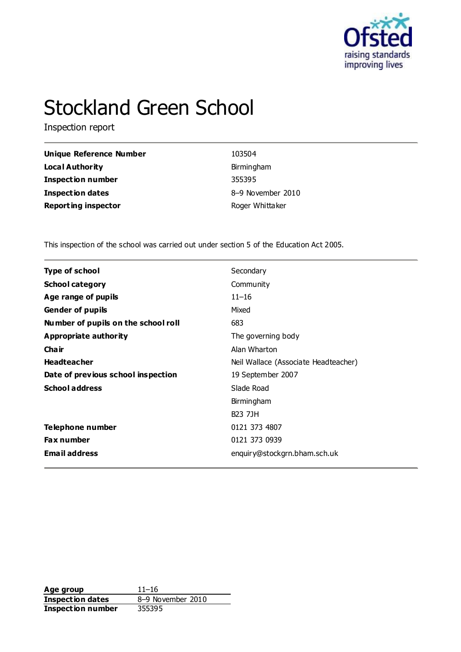

# Stockland Green School

Inspection report

| Unique Reference Number    | 103504            |
|----------------------------|-------------------|
| <b>Local Authority</b>     | Birmingham        |
| <b>Inspection number</b>   | 355395            |
| Inspection dates           | 8-9 November 2010 |
| <b>Reporting inspector</b> | Roger Whittaker   |

This inspection of the school was carried out under section 5 of the Education Act 2005.

| <b>Type of school</b>               | Secondary                            |
|-------------------------------------|--------------------------------------|
| <b>School category</b>              | Community                            |
| Age range of pupils                 | $11 - 16$                            |
| <b>Gender of pupils</b>             | Mixed                                |
| Number of pupils on the school roll | 683                                  |
| Appropriate authority               | The governing body                   |
| Cha ir                              | Alan Wharton                         |
| <b>Headteacher</b>                  | Neil Wallace (Associate Headteacher) |
| Date of previous school inspection  | 19 September 2007                    |
| <b>School address</b>               | Slade Road                           |
|                                     | Birmingham                           |
|                                     | <b>B23 7JH</b>                       |
| Telephone number                    | 0121 373 4807                        |
| <b>Fax number</b>                   | 0121 373 0939                        |
| <b>Email address</b>                | enquiry@stockgrn.bham.sch.uk         |

**Age group** 11–16<br> **Inspection dates** 8–9 November 2010 **Inspection dates** 8–9 November 2010 **Inspection number** 355395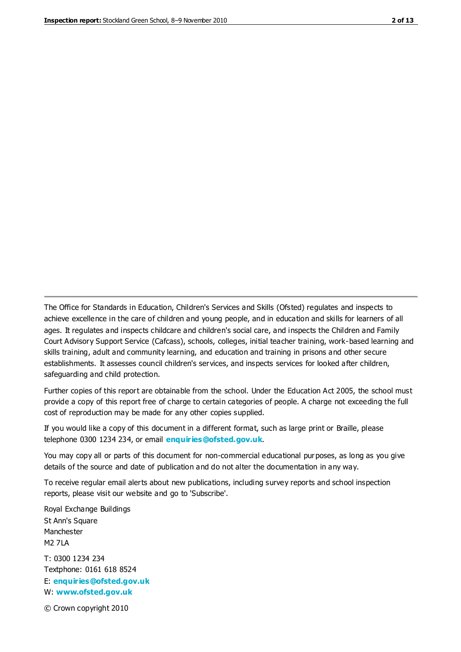The Office for Standards in Education, Children's Services and Skills (Ofsted) regulates and inspects to achieve excellence in the care of children and young people, and in education and skills for learners of all ages. It regulates and inspects childcare and children's social care, and inspects the Children and Family Court Advisory Support Service (Cafcass), schools, colleges, initial teacher training, work-based learning and skills training, adult and community learning, and education and training in prisons and other secure establishments. It assesses council children's services, and inspects services for looked after children, safeguarding and child protection.

Further copies of this report are obtainable from the school. Under the Education Act 2005, the school must provide a copy of this report free of charge to certain categories of people. A charge not exceeding the full cost of reproduction may be made for any other copies supplied.

If you would like a copy of this document in a different format, such as large print or Braille, please telephone 0300 1234 234, or email **[enquiries@ofsted.gov.uk](mailto:enquiries@ofsted.gov.uk)**.

You may copy all or parts of this document for non-commercial educational purposes, as long as you give details of the source and date of publication and do not alter the documentation in any way.

To receive regular email alerts about new publications, including survey reports and school inspection reports, please visit our website and go to 'Subscribe'.

Royal Exchange Buildings St Ann's Square Manchester M2 7LA T: 0300 1234 234 Textphone: 0161 618 8524 E: **[enquiries@ofsted.gov.uk](mailto:enquiries@ofsted.gov.uk)** W: **[www.ofsted.gov.uk](http://www.ofsted.gov.uk/)**

© Crown copyright 2010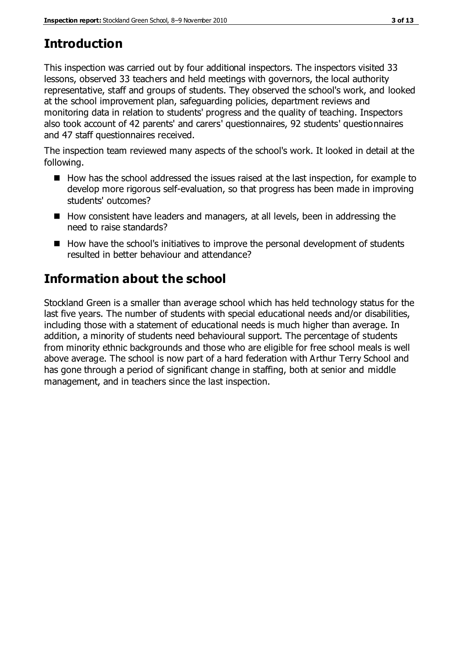# **Introduction**

This inspection was carried out by four additional inspectors. The inspectors visited 33 lessons, observed 33 teachers and held meetings with governors, the local authority representative, staff and groups of students. They observed the school's work, and looked at the school improvement plan, safeguarding policies, department reviews and monitoring data in relation to students' progress and the quality of teaching. Inspectors also took account of 42 parents' and carers' questionnaires, 92 students' questionnaires and 47 staff questionnaires received.

The inspection team reviewed many aspects of the school's work. It looked in detail at the following.

- $\blacksquare$  How has the school addressed the issues raised at the last inspection, for example to develop more rigorous self-evaluation, so that progress has been made in improving students' outcomes?
- How consistent have leaders and managers, at all levels, been in addressing the need to raise standards?
- $\blacksquare$  How have the school's initiatives to improve the personal development of students resulted in better behaviour and attendance?

# **Information about the school**

Stockland Green is a smaller than average school which has held technology status for the last five years. The number of students with special educational needs and/or disabilities, including those with a statement of educational needs is much higher than average. In addition, a minority of students need behavioural support. The percentage of students from minority ethnic backgrounds and those who are eligible for free school meals is well above average. The school is now part of a hard federation with Arthur Terry School and has gone through a period of significant change in staffing, both at senior and middle management, and in teachers since the last inspection.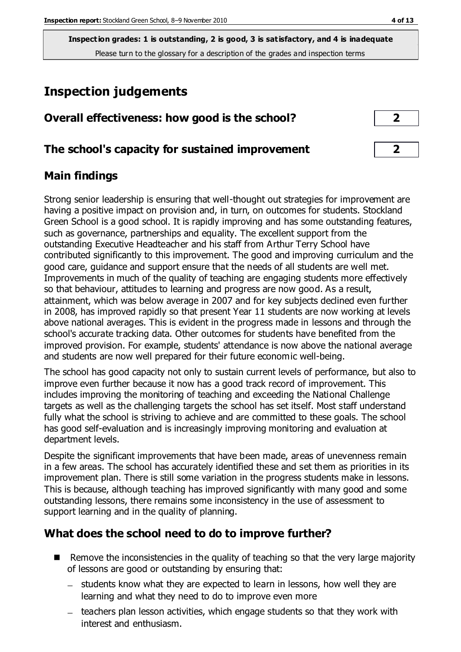# **Inspection judgements**

| Overall effectiveness: how good is the school?  |  |
|-------------------------------------------------|--|
| The school's capacity for sustained improvement |  |

#### **Main findings**

Strong senior leadership is ensuring that well-thought out strategies for improvement are having a positive impact on provision and, in turn, on outcomes for students. Stockland Green School is a good school. It is rapidly improving and has some outstanding features, such as governance, partnerships and equality. The excellent support from the outstanding Executive Headteacher and his staff from Arthur Terry School have contributed significantly to this improvement. The good and improving curriculum and the good care, guidance and support ensure that the needs of all students are well met. Improvements in much of the quality of teaching are engaging students more effectively so that behaviour, attitudes to learning and progress are now good. As a result, attainment, which was below average in 2007 and for key subjects declined even further in 2008, has improved rapidly so that present Year 11 students are now working at levels above national averages. This is evident in the progress made in lessons and through the school's accurate tracking data. Other outcomes for students have benefited from the improved provision. For example, students' attendance is now above the national average and students are now well prepared for their future economic well-being.

The school has good capacity not only to sustain current levels of performance, but also to improve even further because it now has a good track record of improvement. This includes improving the monitoring of teaching and exceeding the National Challenge targets as well as the challenging targets the school has set itself. Most staff understand fully what the school is striving to achieve and are committed to these goals. The school has good self-evaluation and is increasingly improving monitoring and evaluation at department levels.

Despite the significant improvements that have been made, areas of unevenness remain in a few areas. The school has accurately identified these and set them as priorities in its improvement plan. There is still some variation in the progress students make in lessons. This is because, although teaching has improved significantly with many good and some outstanding lessons, there remains some inconsistency in the use of assessment to support learning and in the quality of planning.

#### **What does the school need to do to improve further?**

- $\blacksquare$  Remove the inconsistencies in the quality of teaching so that the very large majority of lessons are good or outstanding by ensuring that:
	- students know what they are expected to learn in lessons, how well they are learning and what they need to do to improve even more
	- teachers plan lesson activities, which engage students so that they work with interest and enthusiasm.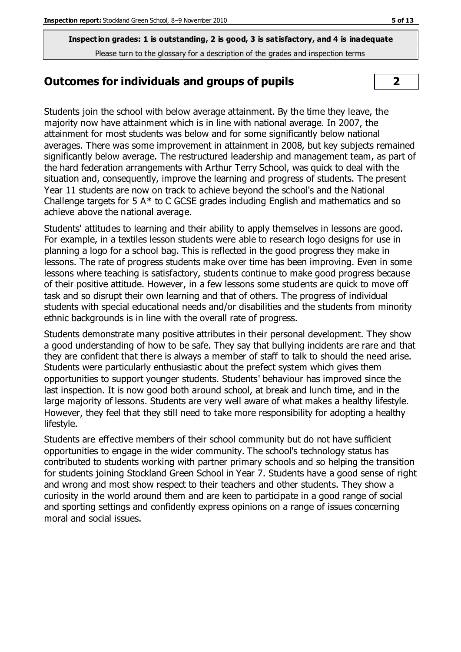#### **Outcomes for individuals and groups of pupils 2**

Students join the school with below average attainment. By the time they leave, the majority now have attainment which is in line with national average. In 2007, the attainment for most students was below and for some significantly below national averages. There was some improvement in attainment in 2008, but key subjects remained significantly below average. The restructured leadership and management team, as part of the hard federation arrangements with Arthur Terry School, was quick to deal with the situation and, consequently, improve the learning and progress of students. The present Year 11 students are now on track to achieve beyond the school's and the National Challenge targets for 5 A\* to C GCSE grades including English and mathematics and so achieve above the national average.

Students' attitudes to learning and their ability to apply themselves in lessons are good. For example, in a textiles lesson students were able to research logo designs for use in planning a logo for a school bag. This is reflected in the good progress they make in lessons. The rate of progress students make over time has been improving. Even in some lessons where teaching is satisfactory, students continue to make good progress because of their positive attitude. However, in a few lessons some students are quick to move off task and so disrupt their own learning and that of others. The progress of individual students with special educational needs and/or disabilities and the students from minority ethnic backgrounds is in line with the overall rate of progress.

Students demonstrate many positive attributes in their personal development. They show a good understanding of how to be safe. They say that bullying incidents are rare and that they are confident that there is always a member of staff to talk to should the need arise. Students were particularly enthusiastic about the prefect system which gives them opportunities to support younger students. Students' behaviour has improved since the last inspection. It is now good both around school, at break and lunch time, and in the large majority of lessons. Students are very well aware of what makes a healthy lifestyle. However, they feel that they still need to take more responsibility for adopting a healthy lifestyle.

Students are effective members of their school community but do not have sufficient opportunities to engage in the wider community. The school's technology status has contributed to students working with partner primary schools and so helping the transition for students joining Stockland Green School in Year 7. Students have a good sense of right and wrong and most show respect to their teachers and other students. They show a curiosity in the world around them and are keen to participate in a good range of social and sporting settings and confidently express opinions on a range of issues concerning moral and social issues.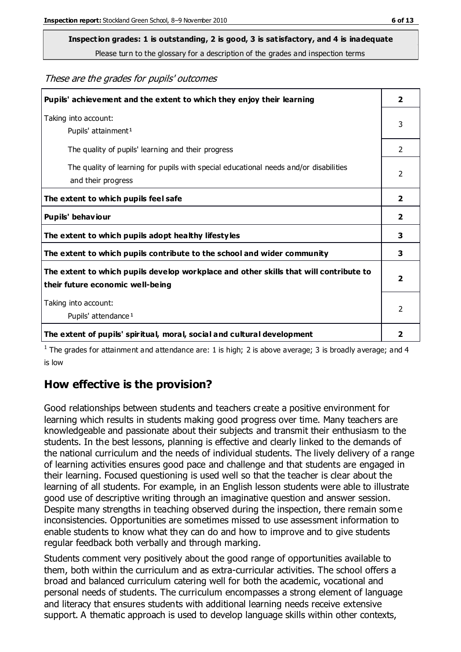# **Inspection grades: 1 is outstanding, 2 is good, 3 is satisfactory, and 4 is inadequate**

Please turn to the glossary for a description of the grades and inspection terms

#### These are the grades for pupils' outcomes

| Pupils' achievement and the extent to which they enjoy their learning                                                     | 2                       |
|---------------------------------------------------------------------------------------------------------------------------|-------------------------|
| Taking into account:<br>Pupils' attainment <sup>1</sup>                                                                   | 3                       |
| The quality of pupils' learning and their progress                                                                        | $\mathcal{P}$           |
| The quality of learning for pupils with special educational needs and/or disabilities<br>and their progress               | 2                       |
| The extent to which pupils feel safe                                                                                      | $\mathbf{2}$            |
| Pupils' behaviour                                                                                                         | 2                       |
| The extent to which pupils adopt healthy lifestyles                                                                       | 3                       |
| The extent to which pupils contribute to the school and wider community                                                   | 3                       |
| The extent to which pupils develop workplace and other skills that will contribute to<br>their future economic well-being | $\overline{\mathbf{2}}$ |
| Taking into account:<br>Pupils' attendance <sup>1</sup>                                                                   | $\mathfrak{D}$          |
| The extent of pupils' spiritual, moral, social and cultural development                                                   | $\overline{2}$          |

<sup>1</sup> The grades for attainment and attendance are: 1 is high; 2 is above average; 3 is broadly average; and 4 is low

#### **How effective is the provision?**

Good relationships between students and teachers create a positive environment for learning which results in students making good progress over time. Many teachers are knowledgeable and passionate about their subjects and transmit their enthusiasm to the students. In the best lessons, planning is effective and clearly linked to the demands of the national curriculum and the needs of individual students. The lively delivery of a range of learning activities ensures good pace and challenge and that students are engaged in their learning. Focused questioning is used well so that the teacher is clear about the learning of all students. For example, in an English lesson students were able to illustrate good use of descriptive writing through an imaginative question and answer session. Despite many strengths in teaching observed during the inspection, there remain some inconsistencies. Opportunities are sometimes missed to use assessment information to enable students to know what they can do and how to improve and to give students regular feedback both verbally and through marking.

Students comment very positively about the good range of opportunities available to them, both within the curriculum and as extra-curricular activities. The school offers a broad and balanced curriculum catering well for both the academic, vocational and personal needs of students. The curriculum encompasses a strong element of language and literacy that ensures students with additional learning needs receive extensive support. A thematic approach is used to develop language skills within other contexts,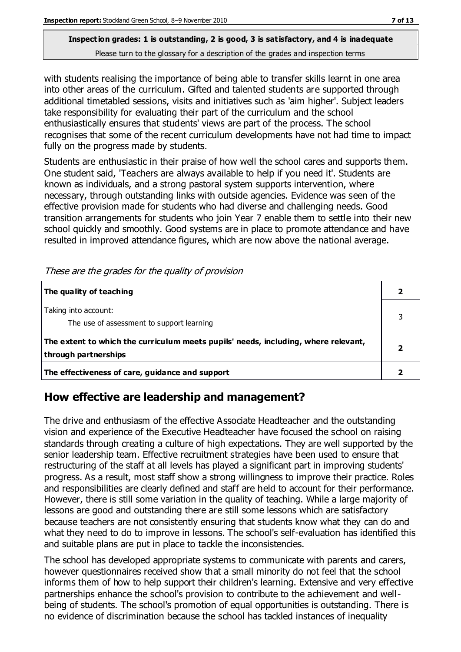with students realising the importance of being able to transfer skills learnt in one area into other areas of the curriculum. Gifted and talented students are supported through additional timetabled sessions, visits and initiatives such as 'aim higher'. Subject leaders take responsibility for evaluating their part of the curriculum and the school enthusiastically ensures that students' views are part of the process. The school recognises that some of the recent curriculum developments have not had time to impact fully on the progress made by students.

Students are enthusiastic in their praise of how well the school cares and supports them. One student said, 'Teachers are always available to help if you need it'. Students are known as individuals, and a strong pastoral system supports intervention, where necessary, through outstanding links with outside agencies. Evidence was seen of the effective provision made for students who had diverse and challenging needs. Good transition arrangements for students who join Year 7 enable them to settle into their new school quickly and smoothly. Good systems are in place to promote attendance and have resulted in improved attendance figures, which are now above the national average.

| The quality of teaching                                                                                    |  |
|------------------------------------------------------------------------------------------------------------|--|
| Taking into account:<br>The use of assessment to support learning                                          |  |
| The extent to which the curriculum meets pupils' needs, including, where relevant,<br>through partnerships |  |
| The effectiveness of care, guidance and support                                                            |  |

These are the grades for the quality of provision

#### **How effective are leadership and management?**

The drive and enthusiasm of the effective Associate Headteacher and the outstanding vision and experience of the Executive Headteacher have focused the school on raising standards through creating a culture of high expectations. They are well supported by the senior leadership team. Effective recruitment strategies have been used to ensure that restructuring of the staff at all levels has played a significant part in improving students' progress. As a result, most staff show a strong willingness to improve their practice. Roles and responsibilities are clearly defined and staff are held to account for their performance. However, there is still some variation in the quality of teaching. While a large majority of lessons are good and outstanding there are still some lessons which are satisfactory because teachers are not consistently ensuring that students know what they can do and what they need to do to improve in lessons. The school's self-evaluation has identified this and suitable plans are put in place to tackle the inconsistencies.

The school has developed appropriate systems to communicate with parents and carers, however questionnaires received show that a small minority do not feel that the school informs them of how to help support their children's learning. Extensive and very effective partnerships enhance the school's provision to contribute to the achievement and wellbeing of students. The school's promotion of equal opportunities is outstanding. There is no evidence of discrimination because the school has tackled instances of inequality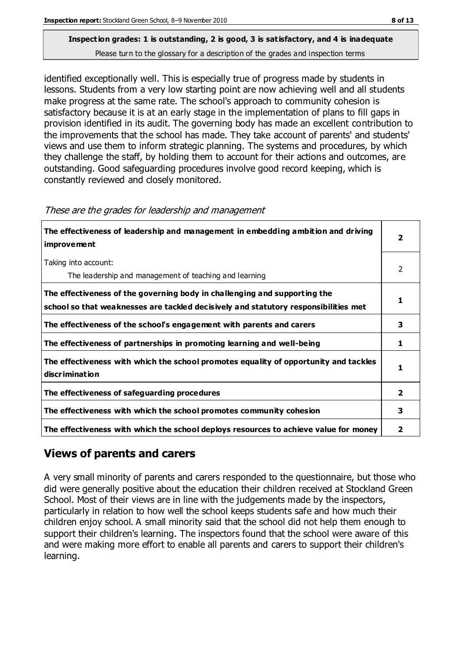identified exceptionally well. This is especially true of progress made by students in lessons. Students from a very low starting point are now achieving well and all students make progress at the same rate. The school's approach to community cohesion is satisfactory because it is at an early stage in the implementation of plans to fill gaps in provision identified in its audit. The governing body has made an excellent contribution to the improvements that the school has made. They take account of parents' and students' views and use them to inform strategic planning. The systems and procedures, by which they challenge the staff, by holding them to account for their actions and outcomes, are outstanding. Good safeguarding procedures involve good record keeping, which is constantly reviewed and closely monitored.

| The effectiveness of leadership and management in embedding ambition and driving<br><b>improvement</b>                                                           |   |
|------------------------------------------------------------------------------------------------------------------------------------------------------------------|---|
| Taking into account:<br>The leadership and management of teaching and learning                                                                                   | 2 |
| The effectiveness of the governing body in challenging and supporting the<br>school so that weaknesses are tackled decisively and statutory responsibilities met |   |
| The effectiveness of the school's engagement with parents and carers                                                                                             | 3 |
| The effectiveness of partnerships in promoting learning and well-being                                                                                           | 1 |
| The effectiveness with which the school promotes equality of opportunity and tackles<br>discrimination                                                           | 1 |
| The effectiveness of safeguarding procedures                                                                                                                     | 2 |
| The effectiveness with which the school promotes community cohesion                                                                                              |   |
| The effectiveness with which the school deploys resources to achieve value for money                                                                             | 2 |

|  |  | These are the grades for leadership and management |  |
|--|--|----------------------------------------------------|--|
|  |  |                                                    |  |

#### **Views of parents and carers**

A very small minority of parents and carers responded to the questionnaire, but those who did were generally positive about the education their children received at Stockland Green School. Most of their views are in line with the judgements made by the inspectors, particularly in relation to how well the school keeps students safe and how much their children enjoy school. A small minority said that the school did not help them enough to support their children's learning. The inspectors found that the school were aware of this and were making more effort to enable all parents and carers to support their children's learning.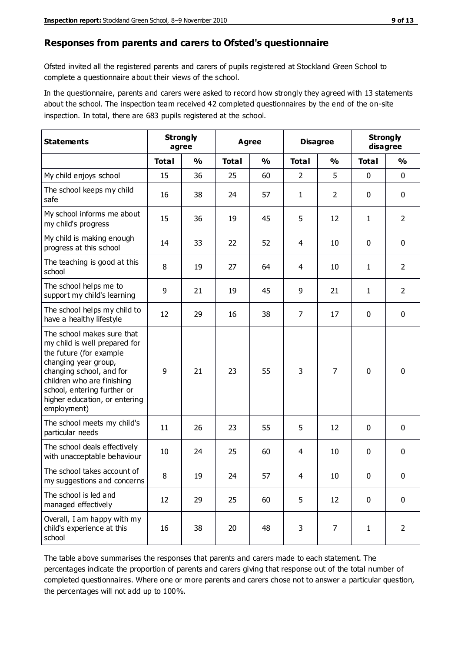#### **Responses from parents and carers to Ofsted's questionnaire**

Ofsted invited all the registered parents and carers of pupils registered at Stockland Green School to complete a questionnaire about their views of the school.

In the questionnaire, parents and carers were asked to record how strongly they agreed with 13 statements about the school. The inspection team received 42 completed questionnaires by the end of the on-site inspection. In total, there are 683 pupils registered at the school.

| <b>Statements</b>                                                                                                                                                                                                                                       | <b>Strongly</b><br>agree |               | Agree        |               | <b>Disagree</b> |                | <b>Strongly</b><br>disagree |                |
|---------------------------------------------------------------------------------------------------------------------------------------------------------------------------------------------------------------------------------------------------------|--------------------------|---------------|--------------|---------------|-----------------|----------------|-----------------------------|----------------|
|                                                                                                                                                                                                                                                         | <b>Total</b>             | $\frac{0}{0}$ | <b>Total</b> | $\frac{0}{0}$ | <b>Total</b>    | $\frac{0}{0}$  | <b>Total</b>                | $\frac{0}{0}$  |
| My child enjoys school                                                                                                                                                                                                                                  | 15                       | 36            | 25           | 60            | $\overline{2}$  | 5              | $\mathbf 0$                 | $\mathbf 0$    |
| The school keeps my child<br>safe                                                                                                                                                                                                                       | 16                       | 38            | 24           | 57            | $\mathbf{1}$    | $\overline{2}$ | $\mathbf 0$                 | $\mathbf 0$    |
| My school informs me about<br>my child's progress                                                                                                                                                                                                       | 15                       | 36            | 19           | 45            | 5               | 12             | 1                           | $\overline{2}$ |
| My child is making enough<br>progress at this school                                                                                                                                                                                                    | 14                       | 33            | 22           | 52            | 4               | 10             | 0                           | $\mathbf 0$    |
| The teaching is good at this<br>school                                                                                                                                                                                                                  | 8                        | 19            | 27           | 64            | 4               | 10             | 1                           | $\overline{2}$ |
| The school helps me to<br>support my child's learning                                                                                                                                                                                                   | 9                        | 21            | 19           | 45            | 9               | 21             | 1                           | $\overline{2}$ |
| The school helps my child to<br>have a healthy lifestyle                                                                                                                                                                                                | 12                       | 29            | 16           | 38            | $\overline{7}$  | 17             | $\mathbf 0$                 | $\mathbf 0$    |
| The school makes sure that<br>my child is well prepared for<br>the future (for example<br>changing year group,<br>changing school, and for<br>children who are finishing<br>school, entering further or<br>higher education, or entering<br>employment) | 9                        | 21            | 23           | 55            | 3               | $\overline{7}$ | $\mathbf 0$                 | $\mathbf 0$    |
| The school meets my child's<br>particular needs                                                                                                                                                                                                         | 11                       | 26            | 23           | 55            | 5               | 12             | $\mathbf 0$                 | $\mathbf 0$    |
| The school deals effectively<br>with unacceptable behaviour                                                                                                                                                                                             | 10                       | 24            | 25           | 60            | 4               | 10             | 0                           | 0              |
| The school takes account of<br>my suggestions and concerns                                                                                                                                                                                              | 8                        | 19            | 24           | 57            | 4               | $10\,$         | 0                           | 0              |
| The school is led and<br>managed effectively                                                                                                                                                                                                            | 12                       | 29            | 25           | 60            | 5               | 12             | $\mathbf 0$                 | $\mathbf 0$    |
| Overall, I am happy with my<br>child's experience at this<br>school                                                                                                                                                                                     | 16                       | 38            | 20           | 48            | 3               | $\overline{7}$ | $\mathbf{1}$                | $\overline{2}$ |

The table above summarises the responses that parents and carers made to each statement. The percentages indicate the proportion of parents and carers giving that response out of the total number of completed questionnaires. Where one or more parents and carers chose not to answer a particular question, the percentages will not add up to 100%.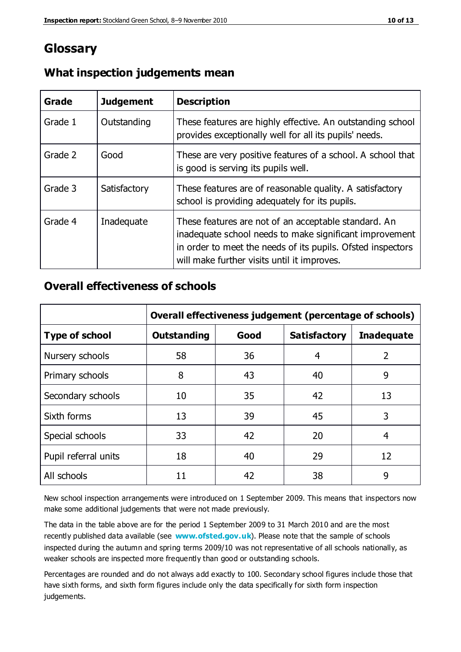### **Glossary**

| Grade   | <b>Judgement</b> | <b>Description</b>                                                                                                                                                                                                            |
|---------|------------------|-------------------------------------------------------------------------------------------------------------------------------------------------------------------------------------------------------------------------------|
| Grade 1 | Outstanding      | These features are highly effective. An outstanding school<br>provides exceptionally well for all its pupils' needs.                                                                                                          |
| Grade 2 | Good             | These are very positive features of a school. A school that<br>is good is serving its pupils well.                                                                                                                            |
| Grade 3 | Satisfactory     | These features are of reasonable quality. A satisfactory<br>school is providing adequately for its pupils.                                                                                                                    |
| Grade 4 | Inadequate       | These features are not of an acceptable standard. An<br>inadequate school needs to make significant improvement<br>in order to meet the needs of its pupils. Ofsted inspectors<br>will make further visits until it improves. |

#### **What inspection judgements mean**

#### **Overall effectiveness of schools**

|                       | Overall effectiveness judgement (percentage of schools) |      |                     |                   |
|-----------------------|---------------------------------------------------------|------|---------------------|-------------------|
| <b>Type of school</b> | <b>Outstanding</b>                                      | Good | <b>Satisfactory</b> | <b>Inadequate</b> |
| Nursery schools       | 58                                                      | 36   | 4                   | 2                 |
| Primary schools       | 8                                                       | 43   | 40                  | 9                 |
| Secondary schools     | 10                                                      | 35   | 42                  | 13                |
| Sixth forms           | 13                                                      | 39   | 45                  | 3                 |
| Special schools       | 33                                                      | 42   | 20                  | 4                 |
| Pupil referral units  | 18                                                      | 40   | 29                  | 12                |
| All schools           | 11                                                      | 42   | 38                  | 9                 |

New school inspection arrangements were introduced on 1 September 2009. This means that inspectors now make some additional judgements that were not made previously.

The data in the table above are for the period 1 September 2009 to 31 March 2010 and are the most recently published data available (see **[www.ofsted.gov.uk](http://www.ofsted.gov.uk/)**). Please note that the sample of schools inspected during the autumn and spring terms 2009/10 was not representative of all schools nationally, as weaker schools are inspected more frequently than good or outstanding schools.

Percentages are rounded and do not always add exactly to 100. Secondary school figures include those that have sixth forms, and sixth form figures include only the data specifically for sixth form inspection judgements.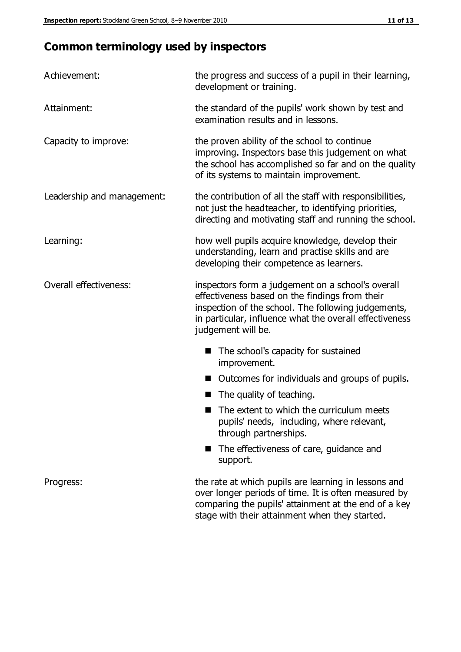# **Common terminology used by inspectors**

| Achievement:                  | the progress and success of a pupil in their learning,<br>development or training.                                                                                                                                                          |  |  |
|-------------------------------|---------------------------------------------------------------------------------------------------------------------------------------------------------------------------------------------------------------------------------------------|--|--|
| Attainment:                   | the standard of the pupils' work shown by test and<br>examination results and in lessons.                                                                                                                                                   |  |  |
| Capacity to improve:          | the proven ability of the school to continue<br>improving. Inspectors base this judgement on what<br>the school has accomplished so far and on the quality<br>of its systems to maintain improvement.                                       |  |  |
| Leadership and management:    | the contribution of all the staff with responsibilities,<br>not just the headteacher, to identifying priorities,<br>directing and motivating staff and running the school.                                                                  |  |  |
| Learning:                     | how well pupils acquire knowledge, develop their<br>understanding, learn and practise skills and are<br>developing their competence as learners.                                                                                            |  |  |
| <b>Overall effectiveness:</b> | inspectors form a judgement on a school's overall<br>effectiveness based on the findings from their<br>inspection of the school. The following judgements,<br>in particular, influence what the overall effectiveness<br>judgement will be. |  |  |
|                               | The school's capacity for sustained<br>improvement.                                                                                                                                                                                         |  |  |
|                               | Outcomes for individuals and groups of pupils.                                                                                                                                                                                              |  |  |
|                               | The quality of teaching.                                                                                                                                                                                                                    |  |  |
|                               | The extent to which the curriculum meets<br>pupils' needs, including, where relevant,<br>through partnerships.                                                                                                                              |  |  |
|                               | The effectiveness of care, guidance and<br>support.                                                                                                                                                                                         |  |  |
| Progress:                     | the rate at which pupils are learning in lessons and<br>over longer periods of time. It is often measured by<br>comparing the pupils' attainment at the end of a key                                                                        |  |  |

stage with their attainment when they started.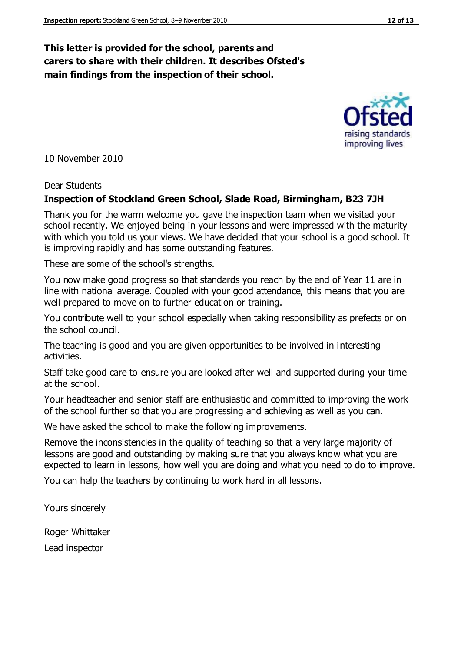#### **This letter is provided for the school, parents and carers to share with their children. It describes Ofsted's main findings from the inspection of their school.**

10 November 2010

#### Dear Students

#### **Inspection of Stockland Green School, Slade Road, Birmingham, B23 7JH**

Thank you for the warm welcome you gave the inspection team when we visited your school recently. We enjoyed being in your lessons and were impressed with the maturity with which you told us your views. We have decided that your school is a good school. It is improving rapidly and has some outstanding features.

These are some of the school's strengths.

You now make good progress so that standards you reach by the end of Year 11 are in line with national average. Coupled with your good attendance, this means that you are well prepared to move on to further education or training.

You contribute well to your school especially when taking responsibility as prefects or on the school council.

The teaching is good and you are given opportunities to be involved in interesting activities.

Staff take good care to ensure you are looked after well and supported during your time at the school.

Your headteacher and senior staff are enthusiastic and committed to improving the work of the school further so that you are progressing and achieving as well as you can.

We have asked the school to make the following improvements.

Remove the inconsistencies in the quality of teaching so that a very large majority of lessons are good and outstanding by making sure that you always know what you are expected to learn in lessons, how well you are doing and what you need to do to improve.

You can help the teachers by continuing to work hard in all lessons.

Yours sincerely

Roger Whittaker

Lead inspector